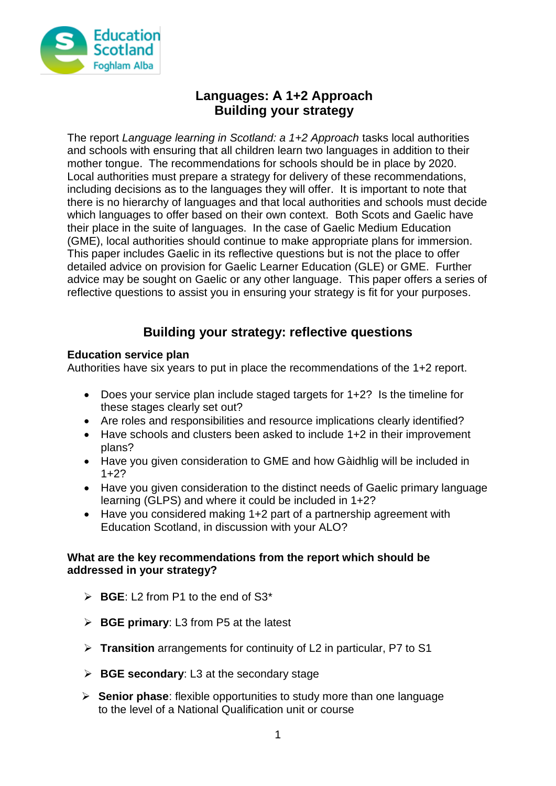

# **Languages: A 1+2 Approach Building your strategy**

The report *Language learning in Scotland: a 1+2 Approach* tasks local authorities and schools with ensuring that all children learn two languages in addition to their mother tongue. The recommendations for schools should be in place by 2020. Local authorities must prepare a strategy for delivery of these recommendations, including decisions as to the languages they will offer. It is important to note that there is no hierarchy of languages and that local authorities and schools must decide which languages to offer based on their own context. Both Scots and Gaelic have their place in the suite of languages. In the case of Gaelic Medium Education (GME), local authorities should continue to make appropriate plans for immersion. This paper includes Gaelic in its reflective questions but is not the place to offer detailed advice on provision for Gaelic Learner Education (GLE) or GME. Further advice may be sought on Gaelic or any other language. This paper offers a series of reflective questions to assist you in ensuring your strategy is fit for your purposes.

# **Building your strategy: reflective questions**

## **Education service plan**

Authorities have six years to put in place the recommendations of the 1+2 report.

- Does your service plan include staged targets for 1+2? Is the timeline for these stages clearly set out?
- Are roles and responsibilities and resource implications clearly identified?
- Have schools and clusters been asked to include 1+2 in their improvement plans?
- Have you given consideration to GME and how Gàidhlig will be included in  $1+2?$
- Have you given consideration to the distinct needs of Gaelic primary language learning (GLPS) and where it could be included in 1+2?
- Have you considered making 1+2 part of a partnership agreement with Education Scotland, in discussion with your ALO?

#### **What are the key recommendations from the report which should be addressed in your strategy?**

- **BGE**: L2 from P1 to the end of S3\*
- **BGE primary**: L3 from P5 at the latest
- **Transition** arrangements for continuity of L2 in particular, P7 to S1
- **BGE secondary**: L3 at the secondary stage
- **Senior phase**: flexible opportunities to study more than one language to the level of a National Qualification unit or course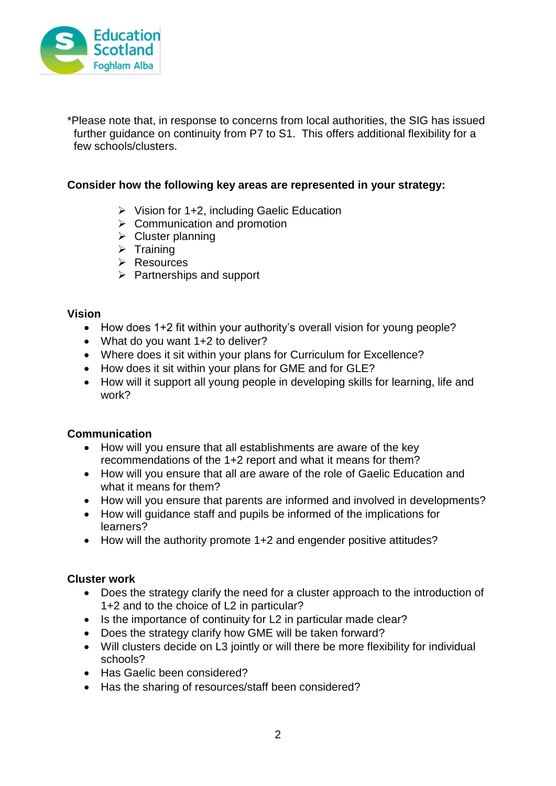

\*Please note that, in response to concerns from local authorities, the SIG has issued further guidance on continuity from P7 to S1. This offers additional flexibility for a few schools/clusters.

#### **Consider how the following key areas are represented in your strategy:**

- $\triangleright$  Vision for 1+2, including Gaelic Education
- $\triangleright$  Communication and promotion
- $\triangleright$  Cluster planning
- $\triangleright$  Training
- $\triangleright$  Resources
- $\triangleright$  Partnerships and support

#### **Vision**

- How does 1+2 fit within your authority's overall vision for young people?
- What do you want 1+2 to deliver?
- Where does it sit within your plans for Curriculum for Excellence?
- How does it sit within your plans for GME and for GLE?
- How will it support all young people in developing skills for learning, life and work?

#### **Communication**

- How will you ensure that all establishments are aware of the key recommendations of the 1+2 report and what it means for them?
- How will you ensure that all are aware of the role of Gaelic Education and what it means for them?
- How will you ensure that parents are informed and involved in developments?
- How will guidance staff and pupils be informed of the implications for learners?
- How will the authority promote 1+2 and engender positive attitudes?

#### **Cluster work**

- Does the strategy clarify the need for a cluster approach to the introduction of 1+2 and to the choice of L2 in particular?
- Is the importance of continuity for L2 in particular made clear?
- Does the strategy clarify how GME will be taken forward?
- Will clusters decide on L3 jointly or will there be more flexibility for individual schools?
- Has Gaelic been considered?
- Has the sharing of resources/staff been considered?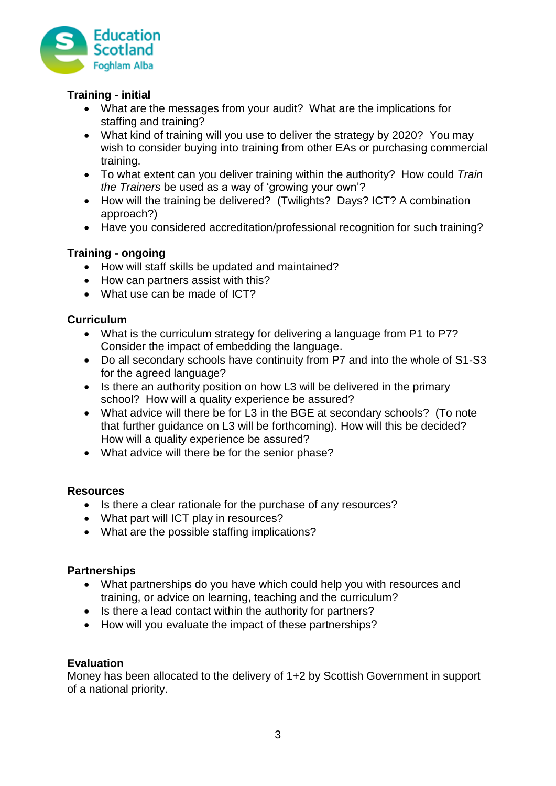

## **Training - initial**

- What are the messages from your audit? What are the implications for staffing and training?
- What kind of training will you use to deliver the strategy by 2020? You may wish to consider buying into training from other EAs or purchasing commercial training.
- To what extent can you deliver training within the authority? How could *Train the Trainers* be used as a way of 'growing your own'?
- How will the training be delivered? (Twilights? Days? ICT? A combination approach?)
- Have you considered accreditation/professional recognition for such training?

## **Training - ongoing**

- How will staff skills be updated and maintained?
- How can partners assist with this?
- What use can be made of ICT?

## **Curriculum**

- What is the curriculum strategy for delivering a language from P1 to P7? Consider the impact of embedding the language.
- Do all secondary schools have continuity from P7 and into the whole of S1-S3 for the agreed language?
- Is there an authority position on how L3 will be delivered in the primary school? How will a quality experience be assured?
- What advice will there be for L3 in the BGE at secondary schools? (To note that further guidance on L3 will be forthcoming). How will this be decided? How will a quality experience be assured?
- What advice will there be for the senior phase?

## **Resources**

- Is there a clear rationale for the purchase of any resources?
- What part will ICT play in resources?
- What are the possible staffing implications?

## **Partnerships**

- What partnerships do you have which could help you with resources and training, or advice on learning, teaching and the curriculum?
- Is there a lead contact within the authority for partners?
- How will you evaluate the impact of these partnerships?

## **Evaluation**

Money has been allocated to the delivery of 1+2 by Scottish Government in support of a national priority.